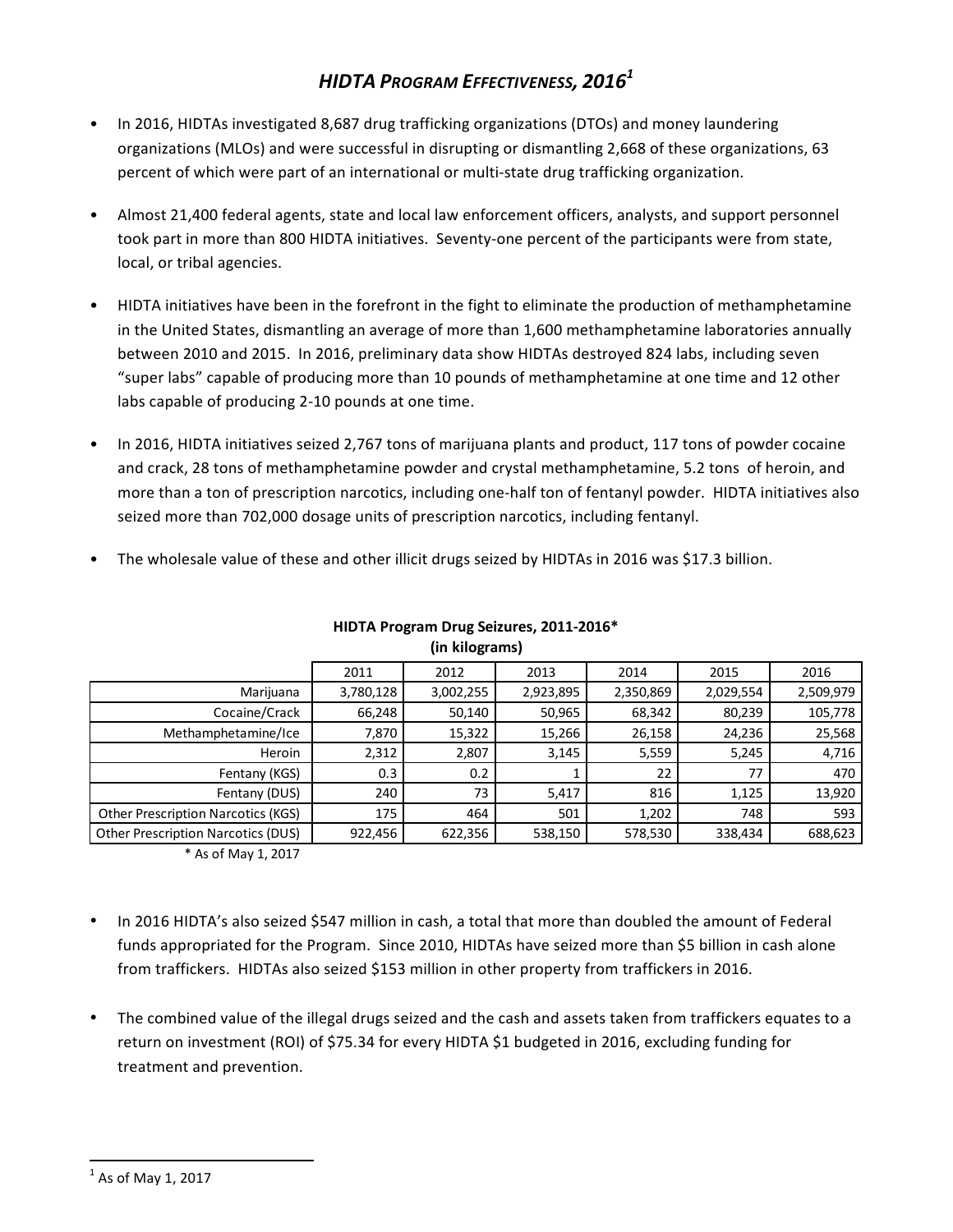## *HIDTA PROGRAM EFFECTIVENESS, 2016<sup>1</sup>*

- In 2016, HIDTAs investigated 8,687 drug trafficking organizations (DTOs) and money laundering organizations (MLOs) and were successful in disrupting or dismantling 2,668 of these organizations, 63 percent of which were part of an international or multi-state drug trafficking organization.
- Almost 21,400 federal agents, state and local law enforcement officers, analysts, and support personnel took part in more than 800 HIDTA initiatives. Seventy-one percent of the participants were from state, local, or tribal agencies.
- HIDTA initiatives have been in the forefront in the fight to eliminate the production of methamphetamine in the United States, dismantling an average of more than 1,600 methamphetamine laboratories annually between 2010 and 2015. In 2016, preliminary data show HIDTAs destroyed 824 labs, including seven "super labs" capable of producing more than 10 pounds of methamphetamine at one time and 12 other labs capable of producing 2-10 pounds at one time.
- In 2016, HIDTA initiatives seized 2,767 tons of marijuana plants and product, 117 tons of powder cocaine and crack, 28 tons of methamphetamine powder and crystal methamphetamine, 5.2 tons of heroin, and more than a ton of prescription narcotics, including one-half ton of fentanyl powder. HIDTA initiatives also seized more than 702,000 dosage units of prescription narcotics, including fentanyl.
- The wholesale value of these and other illicit drugs seized by HIDTAs in 2016 was \$17.3 billion.

| $\mathbf{u}$ when $\mathbf{v}$            |           |           |           |           |           |           |
|-------------------------------------------|-----------|-----------|-----------|-----------|-----------|-----------|
|                                           | 2011      | 2012      | 2013      | 2014      | 2015      | 2016      |
| Marijuana                                 | 3,780,128 | 3,002,255 | 2,923,895 | 2,350,869 | 2,029,554 | 2,509,979 |
| Cocaine/Crack                             | 66,248    | 50,140    | 50,965    | 68,342    | 80,239    | 105,778   |
| Methamphetamine/Ice                       | 7,870     | 15,322    | 15,266    | 26,158    | 24,236    | 25,568    |
| Heroin                                    | 2,312     | 2,807     | 3,145     | 5,559     | 5,245     | 4,716     |
| Fentany (KGS)                             | 0.3       | 0.2       |           | 22        | 77        | 470       |
| Fentany (DUS)                             | 240       | 73        | 5,417     | 816       | 1,125     | 13,920    |
| <b>Other Prescription Narcotics (KGS)</b> | 175       | 464       | 501       | 1,202     | 748       | 593       |
| <b>Other Prescription Narcotics (DUS)</b> | 922,456   | 622,356   | 538,150   | 578,530   | 338,434   | 688,623   |

## **HIDTA Program Drug Seizures, 2011-2016\* (in kilograms)**

\* As of May 1, 2017

- In 2016 HIDTA's also seized \$547 million in cash, a total that more than doubled the amount of Federal funds appropriated for the Program. Since 2010, HIDTAs have seized more than \$5 billion in cash alone from traffickers. HIDTAs also seized \$153 million in other property from traffickers in 2016.
- The combined value of the illegal drugs seized and the cash and assets taken from traffickers equates to a return on investment (ROI) of \$75.34 for every HIDTA \$1 budgeted in 2016, excluding funding for treatment and prevention.

 

 $<sup>1</sup>$  As of May 1, 2017</sup>